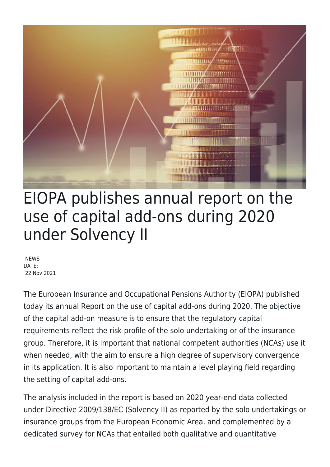

## EIOPA publishes annual report on the use of capital add-ons during 2020 under Solvency II

**NEWS** DATE: 22 Nov 2021

The European Insurance and Occupational Pensions Authority (EIOPA) published today its annual Report on the use of capital add-ons during 2020. The objective of the capital add-on measure is to ensure that the regulatory capital requirements reflect the risk profile of the solo undertaking or of the insurance group. Therefore, it is important that national competent authorities (NCAs) use it when needed, with the aim to ensure a high degree of supervisory convergence in its application. It is also important to maintain a level playing field regarding the setting of capital add-ons.

The analysis included in the report is based on 2020 year-end data collected under Directive 2009/138/EC (Solvency II) as reported by the solo undertakings or insurance groups from the European Economic Area, and complemented by a dedicated survey for NCAs that entailed both qualitative and quantitative